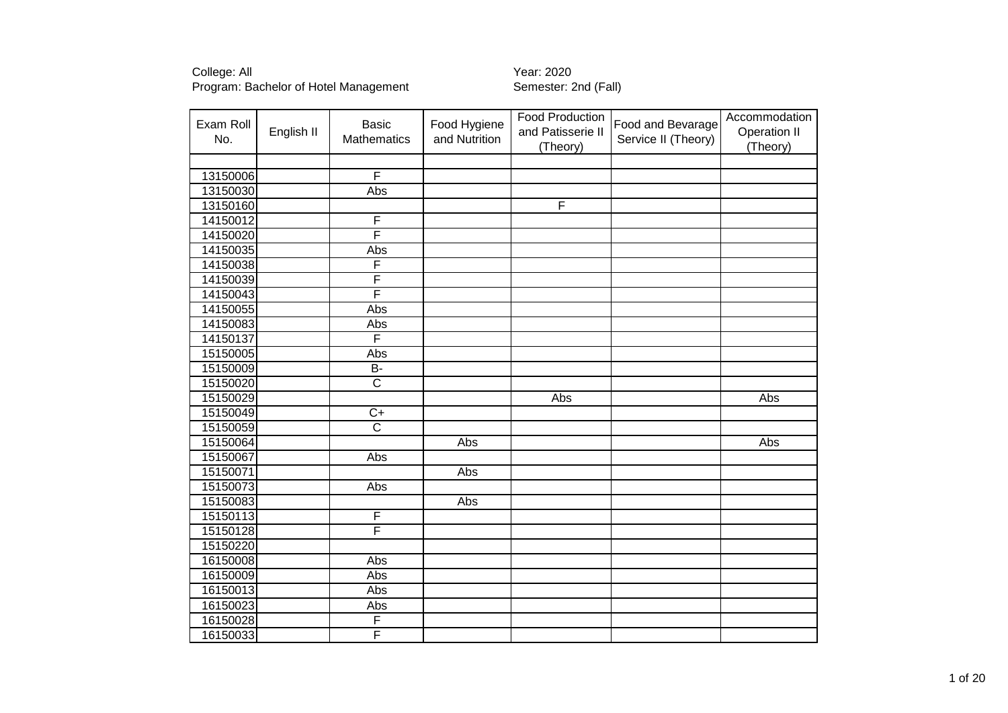| Exam Roll<br>No. | English II | <b>Basic</b><br><b>Mathematics</b> | Food Hygiene<br>and Nutrition | <b>Food Production</b><br>and Patisserie II<br>(Theory) | Food and Bevarage<br>Service II (Theory) | Accommodation<br>Operation II<br>(Theory) |
|------------------|------------|------------------------------------|-------------------------------|---------------------------------------------------------|------------------------------------------|-------------------------------------------|
|                  |            |                                    |                               |                                                         |                                          |                                           |
| 13150006         |            | $\overline{\mathsf{F}}$            |                               |                                                         |                                          |                                           |
| 13150030         |            | Abs                                |                               |                                                         |                                          |                                           |
| 13150160         |            |                                    |                               | F                                                       |                                          |                                           |
| 14150012         |            | F                                  |                               |                                                         |                                          |                                           |
| 14150020         |            | F                                  |                               |                                                         |                                          |                                           |
| 14150035         |            | Abs                                |                               |                                                         |                                          |                                           |
| 14150038         |            | F                                  |                               |                                                         |                                          |                                           |
| 14150039         |            | F                                  |                               |                                                         |                                          |                                           |
| 14150043         |            | F                                  |                               |                                                         |                                          |                                           |
| 14150055         |            | Abs                                |                               |                                                         |                                          |                                           |
| 14150083         |            | Abs                                |                               |                                                         |                                          |                                           |
| 14150137         |            | F                                  |                               |                                                         |                                          |                                           |
| 15150005         |            | Abs                                |                               |                                                         |                                          |                                           |
| 15150009         |            | $\overline{B}$                     |                               |                                                         |                                          |                                           |
| 15150020         |            | $\overline{\mathsf{C}}$            |                               |                                                         |                                          |                                           |
| 15150029         |            |                                    |                               | Abs                                                     |                                          | Abs                                       |
| 15150049         |            | $C+$                               |                               |                                                         |                                          |                                           |
| 15150059         |            | $\overline{\text{c}}$              |                               |                                                         |                                          |                                           |
| 15150064         |            |                                    | $\overline{Abs}$              |                                                         |                                          | Abs                                       |
| 15150067         |            | Abs                                |                               |                                                         |                                          |                                           |
| 15150071         |            |                                    | Abs                           |                                                         |                                          |                                           |
| 15150073         |            | Abs                                |                               |                                                         |                                          |                                           |
| 15150083         |            |                                    | Abs                           |                                                         |                                          |                                           |
| 15150113         |            | F                                  |                               |                                                         |                                          |                                           |
| 15150128         |            | F                                  |                               |                                                         |                                          |                                           |
| 15150220         |            |                                    |                               |                                                         |                                          |                                           |
| 16150008         |            | Abs                                |                               |                                                         |                                          |                                           |
| 16150009         |            | Abs                                |                               |                                                         |                                          |                                           |
| 16150013         |            | Abs                                |                               |                                                         |                                          |                                           |
| 16150023         |            | Abs                                |                               |                                                         |                                          |                                           |
| 16150028         |            | F                                  |                               |                                                         |                                          |                                           |
| 16150033         |            | $\overline{\mathsf{F}}$            |                               |                                                         |                                          |                                           |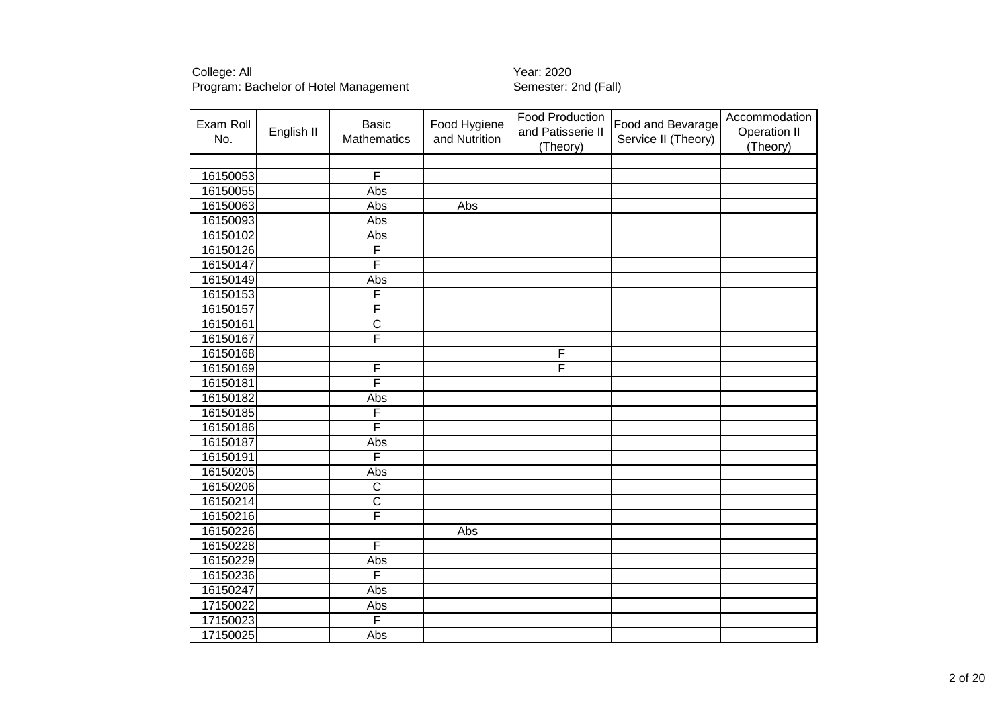| Exam Roll<br>No. | English II | <b>Basic</b><br>Mathematics | Food Hygiene<br>and Nutrition | Food Production<br>and Patisserie II<br>(Theory) | Food and Bevarage<br>Service II (Theory) | Accommodation<br><b>Operation II</b><br>(Theory) |
|------------------|------------|-----------------------------|-------------------------------|--------------------------------------------------|------------------------------------------|--------------------------------------------------|
|                  |            |                             |                               |                                                  |                                          |                                                  |
| 16150053         |            | F                           |                               |                                                  |                                          |                                                  |
| 16150055         |            | Abs                         |                               |                                                  |                                          |                                                  |
| 16150063         |            | Abs                         | Abs                           |                                                  |                                          |                                                  |
| 16150093         |            | Abs                         |                               |                                                  |                                          |                                                  |
| 16150102         |            | Abs                         |                               |                                                  |                                          |                                                  |
| 16150126         |            | F                           |                               |                                                  |                                          |                                                  |
| 16150147         |            | F                           |                               |                                                  |                                          |                                                  |
| 16150149         |            | Abs                         |                               |                                                  |                                          |                                                  |
| 16150153         |            | F                           |                               |                                                  |                                          |                                                  |
| 16150157         |            | F                           |                               |                                                  |                                          |                                                  |
| 16150161         |            | $\overline{\text{c}}$       |                               |                                                  |                                          |                                                  |
| 16150167         |            | F                           |                               |                                                  |                                          |                                                  |
| 16150168         |            |                             |                               | F                                                |                                          |                                                  |
| 16150169         |            | F                           |                               | F                                                |                                          |                                                  |
| 16150181         |            | F                           |                               |                                                  |                                          |                                                  |
| 16150182         |            | Abs                         |                               |                                                  |                                          |                                                  |
| 16150185         |            | F                           |                               |                                                  |                                          |                                                  |
| 16150186         |            | F                           |                               |                                                  |                                          |                                                  |
| 16150187         |            | Abs                         |                               |                                                  |                                          |                                                  |
| 16150191         |            | F                           |                               |                                                  |                                          |                                                  |
| 16150205         |            | Abs                         |                               |                                                  |                                          |                                                  |
| 16150206         |            | $\overline{\text{c}}$       |                               |                                                  |                                          |                                                  |
| 16150214         |            | $\overline{\text{c}}$       |                               |                                                  |                                          |                                                  |
| 16150216         |            | F                           |                               |                                                  |                                          |                                                  |
| 16150226         |            |                             | Abs                           |                                                  |                                          |                                                  |
| 16150228         |            | F                           |                               |                                                  |                                          |                                                  |
| 16150229         |            | Abs                         |                               |                                                  |                                          |                                                  |
| 16150236         |            | F                           |                               |                                                  |                                          |                                                  |
| 16150247         |            | Abs                         |                               |                                                  |                                          |                                                  |
| 17150022         |            | Abs                         |                               |                                                  |                                          |                                                  |
| 17150023         |            | F                           |                               |                                                  |                                          |                                                  |
| 17150025         |            | Abs                         |                               |                                                  |                                          |                                                  |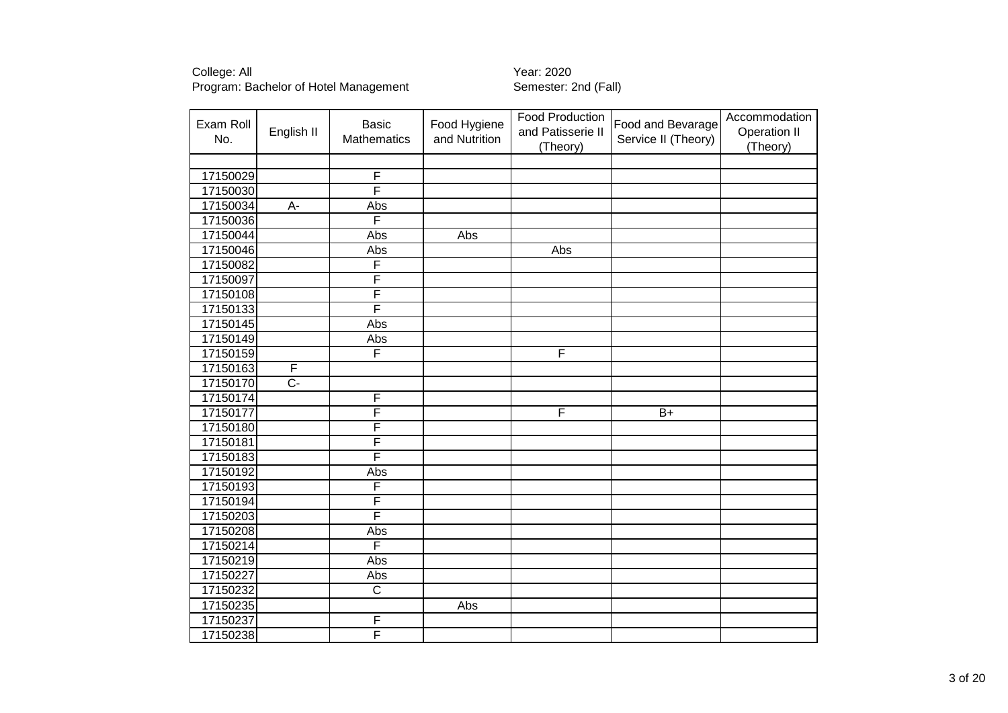| Exam Roll<br>No. | English II     | <b>Basic</b><br>Mathematics | Food Hygiene<br>and Nutrition | Food Production<br>and Patisserie II<br>(Theory) | Food and Bevarage<br>Service II (Theory) | Accommodation<br><b>Operation II</b><br>(Theory) |
|------------------|----------------|-----------------------------|-------------------------------|--------------------------------------------------|------------------------------------------|--------------------------------------------------|
|                  |                |                             |                               |                                                  |                                          |                                                  |
| 17150029         |                | F                           |                               |                                                  |                                          |                                                  |
| 17150030         |                | F                           |                               |                                                  |                                          |                                                  |
| 17150034         | A-             | Abs                         |                               |                                                  |                                          |                                                  |
| 17150036         |                | F                           |                               |                                                  |                                          |                                                  |
| 17150044         |                | Abs                         | Abs                           |                                                  |                                          |                                                  |
| 17150046         |                | Abs                         |                               | Abs                                              |                                          |                                                  |
| 17150082         |                | F                           |                               |                                                  |                                          |                                                  |
| 17150097         |                | F                           |                               |                                                  |                                          |                                                  |
| 17150108         |                | F                           |                               |                                                  |                                          |                                                  |
| 17150133         |                | F                           |                               |                                                  |                                          |                                                  |
| 17150145         |                | Abs                         |                               |                                                  |                                          |                                                  |
| 17150149         |                | Abs                         |                               |                                                  |                                          |                                                  |
| 17150159         |                | F                           |                               | F                                                |                                          |                                                  |
| 17150163         | F              |                             |                               |                                                  |                                          |                                                  |
| 17150170         | $\overline{C}$ |                             |                               |                                                  |                                          |                                                  |
| 17150174         |                | F                           |                               |                                                  |                                          |                                                  |
| 17150177         |                | F                           |                               | F                                                | $\overline{B+}$                          |                                                  |
| 17150180         |                | F                           |                               |                                                  |                                          |                                                  |
| 17150181         |                | F                           |                               |                                                  |                                          |                                                  |
| 17150183         |                | F                           |                               |                                                  |                                          |                                                  |
| 17150192         |                | Abs                         |                               |                                                  |                                          |                                                  |
| 17150193         |                | F                           |                               |                                                  |                                          |                                                  |
| 17150194         |                | F                           |                               |                                                  |                                          |                                                  |
| 17150203         |                | F                           |                               |                                                  |                                          |                                                  |
| 17150208         |                | Abs                         |                               |                                                  |                                          |                                                  |
| 17150214         |                | F                           |                               |                                                  |                                          |                                                  |
| 17150219         |                | Abs                         |                               |                                                  |                                          |                                                  |
| 17150227         |                | Abs                         |                               |                                                  |                                          |                                                  |
| 17150232         |                | $\overline{\text{c}}$       |                               |                                                  |                                          |                                                  |
| 17150235         |                |                             | Abs                           |                                                  |                                          |                                                  |
| 17150237         |                | F                           |                               |                                                  |                                          |                                                  |
| 17150238         |                | F                           |                               |                                                  |                                          |                                                  |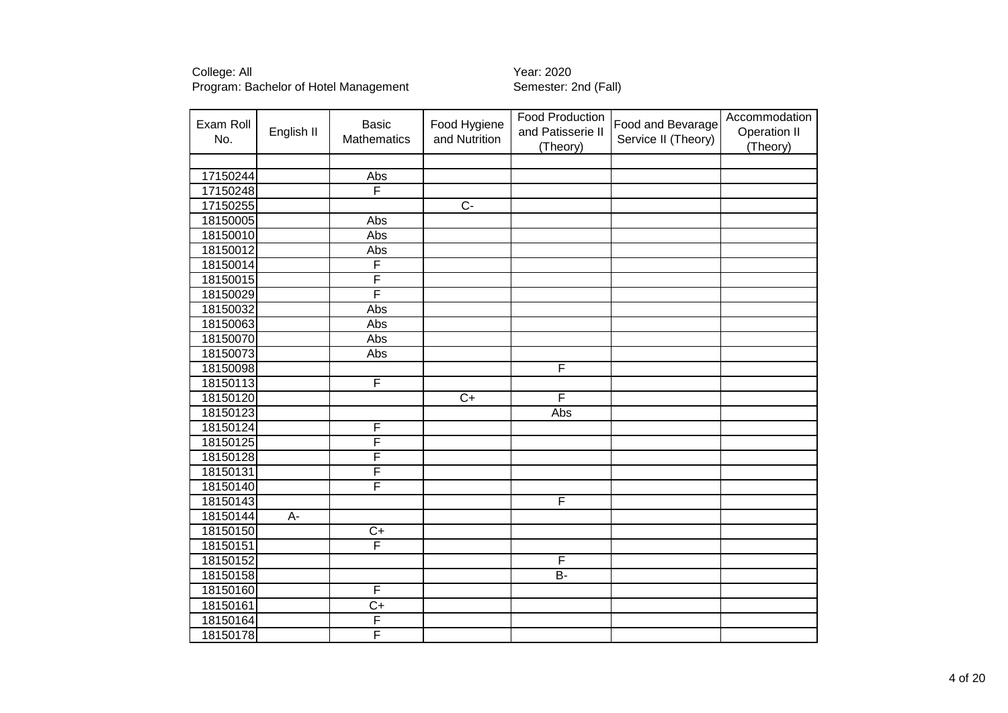| Exam Roll<br>No. | English II | <b>Basic</b><br>Mathematics | Food Hygiene<br>and Nutrition | Food Production<br>and Patisserie II<br>(Theory) | Food and Bevarage<br>Service II (Theory) | Accommodation<br><b>Operation II</b><br>(Theory) |
|------------------|------------|-----------------------------|-------------------------------|--------------------------------------------------|------------------------------------------|--------------------------------------------------|
|                  |            |                             |                               |                                                  |                                          |                                                  |
| 17150244         |            | Abs                         |                               |                                                  |                                          |                                                  |
| 17150248         |            | F                           |                               |                                                  |                                          |                                                  |
| 17150255         |            |                             | $\overline{C}$                |                                                  |                                          |                                                  |
| 18150005         |            | Abs                         |                               |                                                  |                                          |                                                  |
| 18150010         |            | Abs                         |                               |                                                  |                                          |                                                  |
| 18150012         |            | Abs                         |                               |                                                  |                                          |                                                  |
| 18150014         |            | F                           |                               |                                                  |                                          |                                                  |
| 18150015         |            | F                           |                               |                                                  |                                          |                                                  |
| 18150029         |            | F                           |                               |                                                  |                                          |                                                  |
| 18150032         |            | Abs                         |                               |                                                  |                                          |                                                  |
| 18150063         |            | <b>Abs</b>                  |                               |                                                  |                                          |                                                  |
| 18150070         |            | <b>Abs</b>                  |                               |                                                  |                                          |                                                  |
| 18150073         |            | Abs                         |                               |                                                  |                                          |                                                  |
| 18150098         |            |                             |                               | F                                                |                                          |                                                  |
| 18150113         |            | F                           |                               |                                                  |                                          |                                                  |
| 18150120         |            |                             | $\overline{C+}$               | F                                                |                                          |                                                  |
| 18150123         |            |                             |                               | Abs                                              |                                          |                                                  |
| 18150124         |            | F                           |                               |                                                  |                                          |                                                  |
| 18150125         |            | F                           |                               |                                                  |                                          |                                                  |
| 18150128         |            | F                           |                               |                                                  |                                          |                                                  |
| 18150131         |            | F                           |                               |                                                  |                                          |                                                  |
| 18150140         |            | F                           |                               |                                                  |                                          |                                                  |
| 18150143         |            |                             |                               | F                                                |                                          |                                                  |
| 18150144         | A-         |                             |                               |                                                  |                                          |                                                  |
| 18150150         |            | $\overline{C}$              |                               |                                                  |                                          |                                                  |
| 18150151         |            | F                           |                               |                                                  |                                          |                                                  |
| 18150152         |            |                             |                               | F                                                |                                          |                                                  |
| 18150158         |            |                             |                               | $B -$                                            |                                          |                                                  |
| 18150160         |            | F                           |                               |                                                  |                                          |                                                  |
| 18150161         |            | $\overline{C}$              |                               |                                                  |                                          |                                                  |
| 18150164         |            | F                           |                               |                                                  |                                          |                                                  |
| 18150178         |            | F                           |                               |                                                  |                                          |                                                  |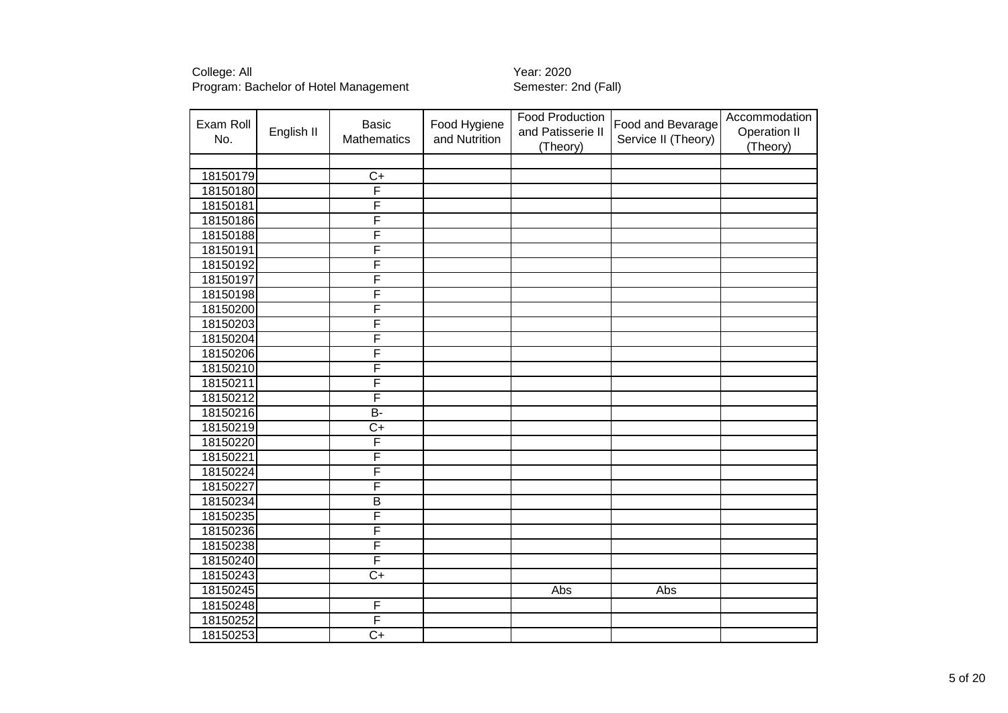| Exam Roll<br>No. | English II | <b>Basic</b><br>Mathematics | Food Hygiene<br>and Nutrition | Food Production<br>and Patisserie II<br>(Theory) | Food and Bevarage<br>Service II (Theory) | Accommodation<br><b>Operation II</b><br>(Theory) |
|------------------|------------|-----------------------------|-------------------------------|--------------------------------------------------|------------------------------------------|--------------------------------------------------|
|                  |            |                             |                               |                                                  |                                          |                                                  |
| 18150179         |            | $\overline{C}$              |                               |                                                  |                                          |                                                  |
| 18150180         |            | $\overline{\mathsf{F}}$     |                               |                                                  |                                          |                                                  |
| 18150181         |            | F                           |                               |                                                  |                                          |                                                  |
| 18150186         |            | F                           |                               |                                                  |                                          |                                                  |
| 18150188         |            | F                           |                               |                                                  |                                          |                                                  |
| 18150191         |            | F                           |                               |                                                  |                                          |                                                  |
| 18150192         |            | F                           |                               |                                                  |                                          |                                                  |
| 18150197         |            | F                           |                               |                                                  |                                          |                                                  |
| 18150198         |            | F                           |                               |                                                  |                                          |                                                  |
| 18150200         |            | F                           |                               |                                                  |                                          |                                                  |
| 18150203         |            | F                           |                               |                                                  |                                          |                                                  |
| 18150204         |            | F                           |                               |                                                  |                                          |                                                  |
| 18150206         |            | F                           |                               |                                                  |                                          |                                                  |
| 18150210         |            | F                           |                               |                                                  |                                          |                                                  |
| 18150211         |            | F                           |                               |                                                  |                                          |                                                  |
| 18150212         |            | F                           |                               |                                                  |                                          |                                                  |
| 18150216         |            | $\overline{B}$              |                               |                                                  |                                          |                                                  |
| 18150219         |            | $C+$                        |                               |                                                  |                                          |                                                  |
| 18150220         |            | F                           |                               |                                                  |                                          |                                                  |
| 18150221         |            | F                           |                               |                                                  |                                          |                                                  |
| 18150224         |            | F                           |                               |                                                  |                                          |                                                  |
| 18150227         |            | F                           |                               |                                                  |                                          |                                                  |
| 18150234         |            | $\overline{B}$              |                               |                                                  |                                          |                                                  |
| 18150235         |            | F                           |                               |                                                  |                                          |                                                  |
| 18150236         |            | F                           |                               |                                                  |                                          |                                                  |
| 18150238         |            | F                           |                               |                                                  |                                          |                                                  |
| 18150240         |            | F                           |                               |                                                  |                                          |                                                  |
| 18150243         |            | $\overline{C+}$             |                               |                                                  |                                          |                                                  |
| 18150245         |            |                             |                               | Abs                                              | Abs                                      |                                                  |
| 18150248         |            | F                           |                               |                                                  |                                          |                                                  |
| 18150252         |            | F                           |                               |                                                  |                                          |                                                  |
| 18150253         |            | $\overline{C+}$             |                               |                                                  |                                          |                                                  |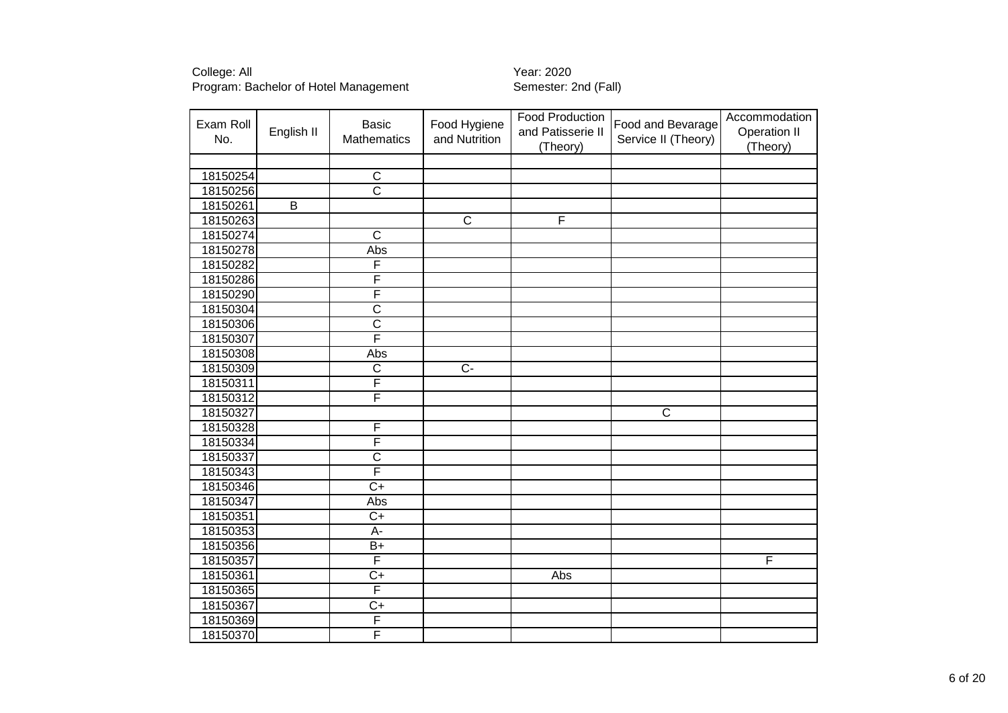| Exam Roll<br>No. | English II              | <b>Basic</b><br>Mathematics | Food Hygiene<br>and Nutrition | <b>Food Production</b><br>and Patisserie II<br>(Theory) | Food and Bevarage<br>Service II (Theory) | Accommodation<br><b>Operation II</b><br>(Theory) |
|------------------|-------------------------|-----------------------------|-------------------------------|---------------------------------------------------------|------------------------------------------|--------------------------------------------------|
|                  |                         |                             |                               |                                                         |                                          |                                                  |
| 18150254         |                         | $\overline{C}$              |                               |                                                         |                                          |                                                  |
| 18150256         |                         | $\overline{\text{c}}$       |                               |                                                         |                                          |                                                  |
| 18150261         | $\overline{\mathsf{B}}$ |                             |                               |                                                         |                                          |                                                  |
| 18150263         |                         |                             | $\overline{C}$                | F                                                       |                                          |                                                  |
| 18150274         |                         | $\overline{\text{c}}$       |                               |                                                         |                                          |                                                  |
| 18150278         |                         | Abs                         |                               |                                                         |                                          |                                                  |
| 18150282         |                         | F                           |                               |                                                         |                                          |                                                  |
| 18150286         |                         | F                           |                               |                                                         |                                          |                                                  |
| 18150290         |                         | F                           |                               |                                                         |                                          |                                                  |
| 18150304         |                         | $\overline{\text{c}}$       |                               |                                                         |                                          |                                                  |
| 18150306         |                         | $\overline{\text{c}}$       |                               |                                                         |                                          |                                                  |
| 18150307         |                         | F                           |                               |                                                         |                                          |                                                  |
| 18150308         |                         | Abs                         |                               |                                                         |                                          |                                                  |
| 18150309         |                         | $\overline{\text{c}}$       | $\overline{C}$                |                                                         |                                          |                                                  |
| 18150311         |                         | F                           |                               |                                                         |                                          |                                                  |
| 18150312         |                         | F                           |                               |                                                         |                                          |                                                  |
| 18150327         |                         |                             |                               |                                                         | $\overline{\mathsf{C}}$                  |                                                  |
| 18150328         |                         | F                           |                               |                                                         |                                          |                                                  |
| 18150334         |                         | F                           |                               |                                                         |                                          |                                                  |
| 18150337         |                         | $\overline{\text{c}}$       |                               |                                                         |                                          |                                                  |
| 18150343         |                         | F                           |                               |                                                         |                                          |                                                  |
| 18150346         |                         | $\overline{C+}$             |                               |                                                         |                                          |                                                  |
| 18150347         |                         | Abs                         |                               |                                                         |                                          |                                                  |
| 18150351         |                         | $C+$                        |                               |                                                         |                                          |                                                  |
| 18150353         |                         | A-                          |                               |                                                         |                                          |                                                  |
| 18150356         |                         | $B+$                        |                               |                                                         |                                          |                                                  |
| 18150357         |                         | F                           |                               |                                                         |                                          | F                                                |
| 18150361         |                         | $\overline{C}$              |                               | Abs                                                     |                                          |                                                  |
| 18150365         |                         | F                           |                               |                                                         |                                          |                                                  |
| 18150367         |                         | $C+$                        |                               |                                                         |                                          |                                                  |
| 18150369         |                         | F                           |                               |                                                         |                                          |                                                  |
| 18150370         |                         | F                           |                               |                                                         |                                          |                                                  |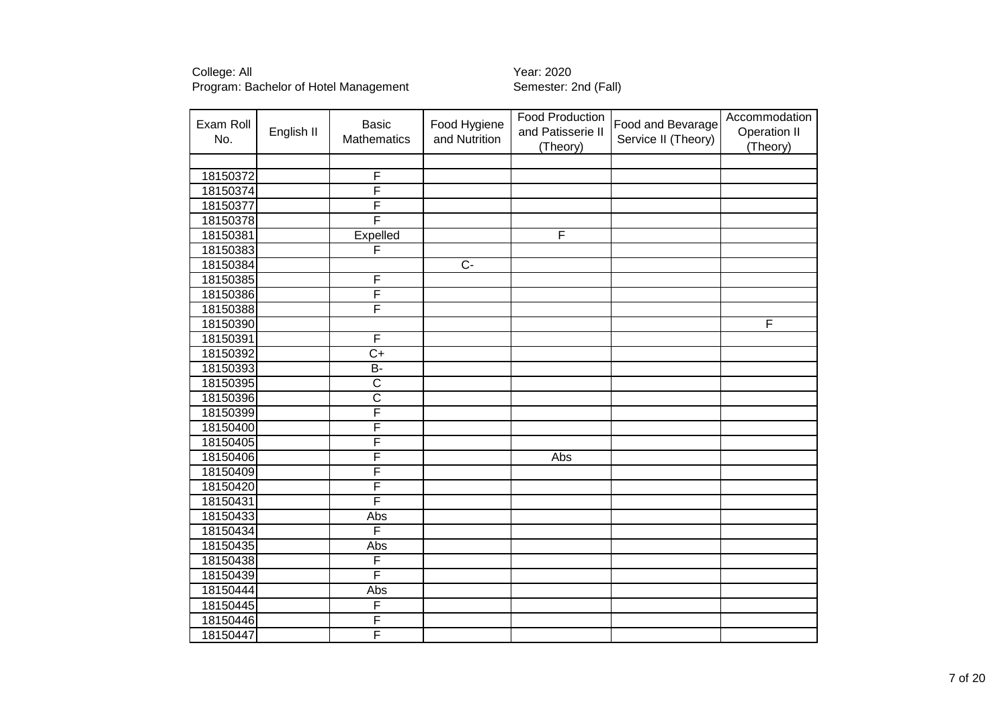| Exam Roll<br>No. | English II | <b>Basic</b><br>Mathematics | Food Hygiene<br>and Nutrition | Food Production<br>and Patisserie II<br>(Theory) | Food and Bevarage<br>Service II (Theory) | Accommodation<br><b>Operation II</b><br>(Theory) |
|------------------|------------|-----------------------------|-------------------------------|--------------------------------------------------|------------------------------------------|--------------------------------------------------|
|                  |            |                             |                               |                                                  |                                          |                                                  |
| 18150372         |            | F                           |                               |                                                  |                                          |                                                  |
| 18150374         |            | F                           |                               |                                                  |                                          |                                                  |
| 18150377         |            | F                           |                               |                                                  |                                          |                                                  |
| 18150378         |            | F                           |                               |                                                  |                                          |                                                  |
| 18150381         |            | Expelled                    |                               | F                                                |                                          |                                                  |
| 18150383         |            | F                           |                               |                                                  |                                          |                                                  |
| 18150384         |            |                             | $\overline{C}$                |                                                  |                                          |                                                  |
| 18150385         |            | F                           |                               |                                                  |                                          |                                                  |
| 18150386         |            | F                           |                               |                                                  |                                          |                                                  |
| 18150388         |            | F                           |                               |                                                  |                                          |                                                  |
| 18150390         |            |                             |                               |                                                  |                                          | F                                                |
| 18150391         |            | F                           |                               |                                                  |                                          |                                                  |
| 18150392         |            | $\overline{C+}$             |                               |                                                  |                                          |                                                  |
| 18150393         |            | $\overline{B}$              |                               |                                                  |                                          |                                                  |
| 18150395         |            | $\overline{\text{c}}$       |                               |                                                  |                                          |                                                  |
| 18150396         |            | $\overline{\text{c}}$       |                               |                                                  |                                          |                                                  |
| 18150399         |            | F                           |                               |                                                  |                                          |                                                  |
| 18150400         |            | F                           |                               |                                                  |                                          |                                                  |
| 18150405         |            | F                           |                               |                                                  |                                          |                                                  |
| 18150406         |            | F                           |                               | Abs                                              |                                          |                                                  |
| 18150409         |            | F                           |                               |                                                  |                                          |                                                  |
| 18150420         |            | F                           |                               |                                                  |                                          |                                                  |
| 18150431         |            | F                           |                               |                                                  |                                          |                                                  |
| 18150433         |            | Abs                         |                               |                                                  |                                          |                                                  |
| 18150434         |            | F                           |                               |                                                  |                                          |                                                  |
| 18150435         |            | Abs                         |                               |                                                  |                                          |                                                  |
| 18150438         |            | F                           |                               |                                                  |                                          |                                                  |
| 18150439         |            | F                           |                               |                                                  |                                          |                                                  |
| 18150444         |            | Abs                         |                               |                                                  |                                          |                                                  |
| 18150445         |            | F                           |                               |                                                  |                                          |                                                  |
| 18150446         |            | F                           |                               |                                                  |                                          |                                                  |
| 18150447         |            | F                           |                               |                                                  |                                          |                                                  |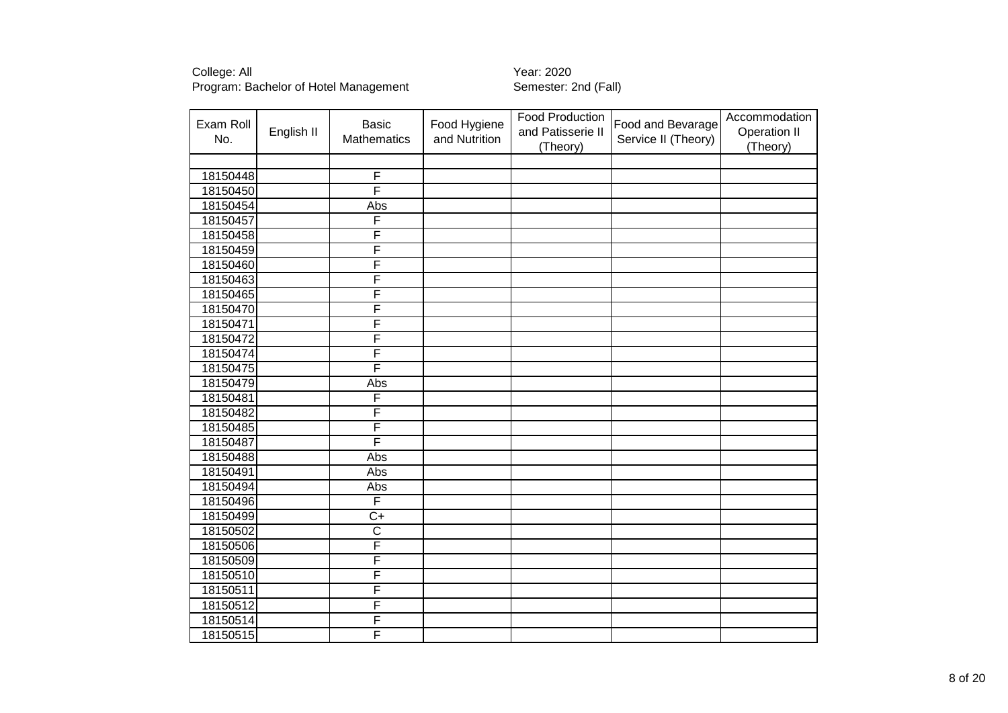| Exam Roll<br>No. | English II | <b>Basic</b><br>Mathematics | Food Hygiene<br>and Nutrition | Food Production<br>and Patisserie II<br>(Theory) | Food and Bevarage<br>Service II (Theory) | Accommodation<br><b>Operation II</b><br>(Theory) |
|------------------|------------|-----------------------------|-------------------------------|--------------------------------------------------|------------------------------------------|--------------------------------------------------|
|                  |            |                             |                               |                                                  |                                          |                                                  |
| 18150448         |            | F                           |                               |                                                  |                                          |                                                  |
| 18150450         |            | F                           |                               |                                                  |                                          |                                                  |
| 18150454         |            | Abs                         |                               |                                                  |                                          |                                                  |
| 18150457         |            | F                           |                               |                                                  |                                          |                                                  |
| 18150458         |            | F                           |                               |                                                  |                                          |                                                  |
| 18150459         |            | F                           |                               |                                                  |                                          |                                                  |
| 18150460         |            | F                           |                               |                                                  |                                          |                                                  |
| 18150463         |            | F                           |                               |                                                  |                                          |                                                  |
| 18150465         |            | F                           |                               |                                                  |                                          |                                                  |
| 18150470         |            | F                           |                               |                                                  |                                          |                                                  |
| 18150471         |            | F                           |                               |                                                  |                                          |                                                  |
| 18150472         |            | F                           |                               |                                                  |                                          |                                                  |
| 18150474         |            | F                           |                               |                                                  |                                          |                                                  |
| 18150475         |            | F                           |                               |                                                  |                                          |                                                  |
| 18150479         |            | Abs                         |                               |                                                  |                                          |                                                  |
| 18150481         |            | F                           |                               |                                                  |                                          |                                                  |
| 18150482         |            | F                           |                               |                                                  |                                          |                                                  |
| 18150485         |            | F                           |                               |                                                  |                                          |                                                  |
| 18150487         |            | F                           |                               |                                                  |                                          |                                                  |
| 18150488         |            | Abs                         |                               |                                                  |                                          |                                                  |
| 18150491         |            | Abs                         |                               |                                                  |                                          |                                                  |
| 18150494         |            | Abs                         |                               |                                                  |                                          |                                                  |
| 18150496         |            | F                           |                               |                                                  |                                          |                                                  |
| 18150499         |            | $\overline{C}$              |                               |                                                  |                                          |                                                  |
| 18150502         |            | $\overline{\text{c}}$       |                               |                                                  |                                          |                                                  |
| 18150506         |            | F                           |                               |                                                  |                                          |                                                  |
| 18150509         |            | F                           |                               |                                                  |                                          |                                                  |
| 18150510         |            | F                           |                               |                                                  |                                          |                                                  |
| 18150511         |            | F                           |                               |                                                  |                                          |                                                  |
| 18150512         |            | F                           |                               |                                                  |                                          |                                                  |
| 18150514         |            | F                           |                               |                                                  |                                          |                                                  |
| 18150515         |            | F                           |                               |                                                  |                                          |                                                  |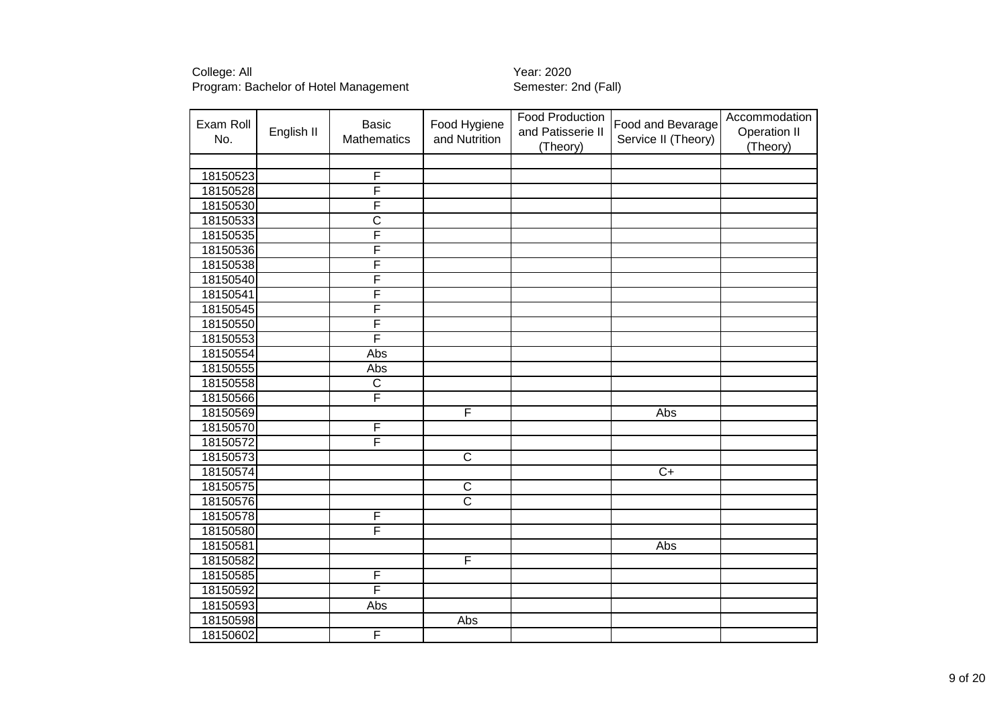| Exam Roll<br>No. | English II | <b>Basic</b><br>Mathematics | Food Hygiene<br>and Nutrition | Food Production<br>and Patisserie II<br>(Theory) | Food and Bevarage<br>Service II (Theory) | Accommodation<br>Operation II<br>(Theory) |
|------------------|------------|-----------------------------|-------------------------------|--------------------------------------------------|------------------------------------------|-------------------------------------------|
|                  |            |                             |                               |                                                  |                                          |                                           |
| 18150523         |            | F                           |                               |                                                  |                                          |                                           |
| 18150528         |            | F                           |                               |                                                  |                                          |                                           |
| 18150530         |            | F                           |                               |                                                  |                                          |                                           |
| 18150533         |            | $\overline{\text{c}}$       |                               |                                                  |                                          |                                           |
| 18150535         |            | F                           |                               |                                                  |                                          |                                           |
| 18150536         |            | F                           |                               |                                                  |                                          |                                           |
| 18150538         |            | F                           |                               |                                                  |                                          |                                           |
| 18150540         |            | F                           |                               |                                                  |                                          |                                           |
| 18150541         |            | F                           |                               |                                                  |                                          |                                           |
| 18150545         |            | F                           |                               |                                                  |                                          |                                           |
| 18150550         |            | F                           |                               |                                                  |                                          |                                           |
| 18150553         |            | F                           |                               |                                                  |                                          |                                           |
| 18150554         |            | Abs                         |                               |                                                  |                                          |                                           |
| 18150555         |            | Abs                         |                               |                                                  |                                          |                                           |
| 18150558         |            | $\overline{\text{c}}$       |                               |                                                  |                                          |                                           |
| 18150566         |            | F                           |                               |                                                  |                                          |                                           |
| 18150569         |            |                             | F                             |                                                  | Abs                                      |                                           |
| 18150570         |            | F                           |                               |                                                  |                                          |                                           |
| 18150572         |            | F                           |                               |                                                  |                                          |                                           |
| 18150573         |            |                             | $\overline{C}$                |                                                  |                                          |                                           |
| 18150574         |            |                             |                               |                                                  | $\overline{C+}$                          |                                           |
| 18150575         |            |                             | $\overline{\text{c}}$         |                                                  |                                          |                                           |
| 18150576         |            |                             | $\overline{\text{c}}$         |                                                  |                                          |                                           |
| 18150578         |            | F                           |                               |                                                  |                                          |                                           |
| 18150580         |            | F                           |                               |                                                  |                                          |                                           |
| 18150581         |            |                             |                               |                                                  | Abs                                      |                                           |
| 18150582         |            |                             | F                             |                                                  |                                          |                                           |
| 18150585         |            | F                           |                               |                                                  |                                          |                                           |
| 18150592         |            | F                           |                               |                                                  |                                          |                                           |
| 18150593         |            | Abs                         |                               |                                                  |                                          |                                           |
| 18150598         |            |                             | Abs                           |                                                  |                                          |                                           |
| 18150602         |            | F                           |                               |                                                  |                                          |                                           |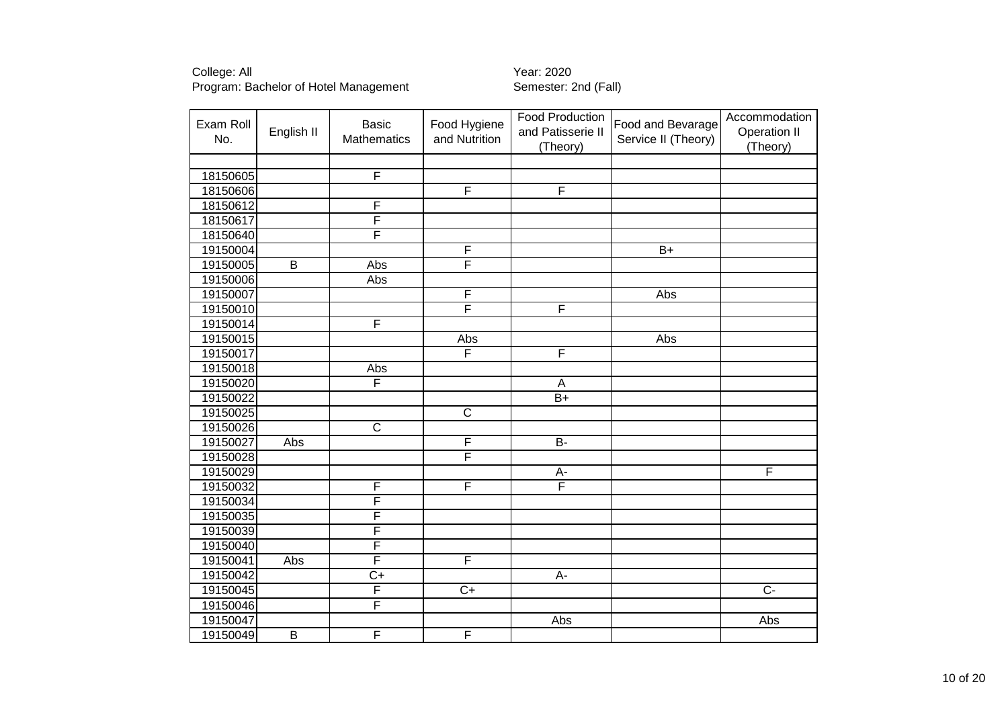| Exam Roll<br>No. | English II              | <b>Basic</b><br>Mathematics | Food Hygiene<br>and Nutrition | <b>Food Production</b><br>and Patisserie II<br>(Theory) | Food and Bevarage<br>Service II (Theory) | Accommodation<br>Operation II<br>(Theory) |
|------------------|-------------------------|-----------------------------|-------------------------------|---------------------------------------------------------|------------------------------------------|-------------------------------------------|
|                  |                         |                             |                               |                                                         |                                          |                                           |
| 18150605         |                         | $\overline{\mathsf{F}}$     |                               |                                                         |                                          |                                           |
| 18150606         |                         |                             | $\overline{\mathsf{F}}$       | $\overline{\mathsf{F}}$                                 |                                          |                                           |
| 18150612         |                         | F                           |                               |                                                         |                                          |                                           |
| 18150617         |                         | F                           |                               |                                                         |                                          |                                           |
| 18150640         |                         | F                           |                               |                                                         |                                          |                                           |
| 19150004         |                         |                             | F                             |                                                         | $\overline{B+}$                          |                                           |
| 19150005         | $\overline{\mathsf{B}}$ | Abs                         | F                             |                                                         |                                          |                                           |
| 19150006         |                         | Abs                         |                               |                                                         |                                          |                                           |
| 19150007         |                         |                             | F                             |                                                         | Abs                                      |                                           |
| 19150010         |                         |                             | F                             | F                                                       |                                          |                                           |
| 19150014         |                         | F                           |                               |                                                         |                                          |                                           |
| 19150015         |                         |                             | Abs                           |                                                         | Abs                                      |                                           |
| 19150017         |                         |                             | F                             | F                                                       |                                          |                                           |
| 19150018         |                         | Abs                         |                               |                                                         |                                          |                                           |
| 19150020         |                         | F                           |                               | $\overline{A}$                                          |                                          |                                           |
| 19150022         |                         |                             |                               | $\overline{B+}$                                         |                                          |                                           |
| 19150025         |                         |                             | $\overline{\text{c}}$         |                                                         |                                          |                                           |
| 19150026         |                         | $\overline{\text{c}}$       |                               |                                                         |                                          |                                           |
| 19150027         | Abs                     |                             | $\overline{\mathsf{F}}$       | $\overline{B}$                                          |                                          |                                           |
| 19150028         |                         |                             | F                             |                                                         |                                          |                                           |
| 19150029         |                         |                             |                               | $A -$                                                   |                                          | F                                         |
| 19150032         |                         | F                           | F                             | F                                                       |                                          |                                           |
| 19150034         |                         | F                           |                               |                                                         |                                          |                                           |
| 19150035         |                         | F                           |                               |                                                         |                                          |                                           |
| 19150039         |                         | F                           |                               |                                                         |                                          |                                           |
| 19150040         |                         | $\overline{\mathsf{F}}$     |                               |                                                         |                                          |                                           |
| 19150041         | Abs                     | $\overline{\mathsf{F}}$     | F                             |                                                         |                                          |                                           |
| 19150042         |                         | $\overline{C+}$             |                               | A-                                                      |                                          |                                           |
| 19150045         |                         | F                           | $\overline{C+}$               |                                                         |                                          | $\overline{C}$                            |
| 19150046         |                         | $\overline{\mathsf{F}}$     |                               |                                                         |                                          |                                           |
| 19150047         |                         |                             |                               | Abs                                                     |                                          | Abs                                       |
| 19150049         | $\overline{\mathsf{B}}$ | $\overline{\mathsf{F}}$     | F                             |                                                         |                                          |                                           |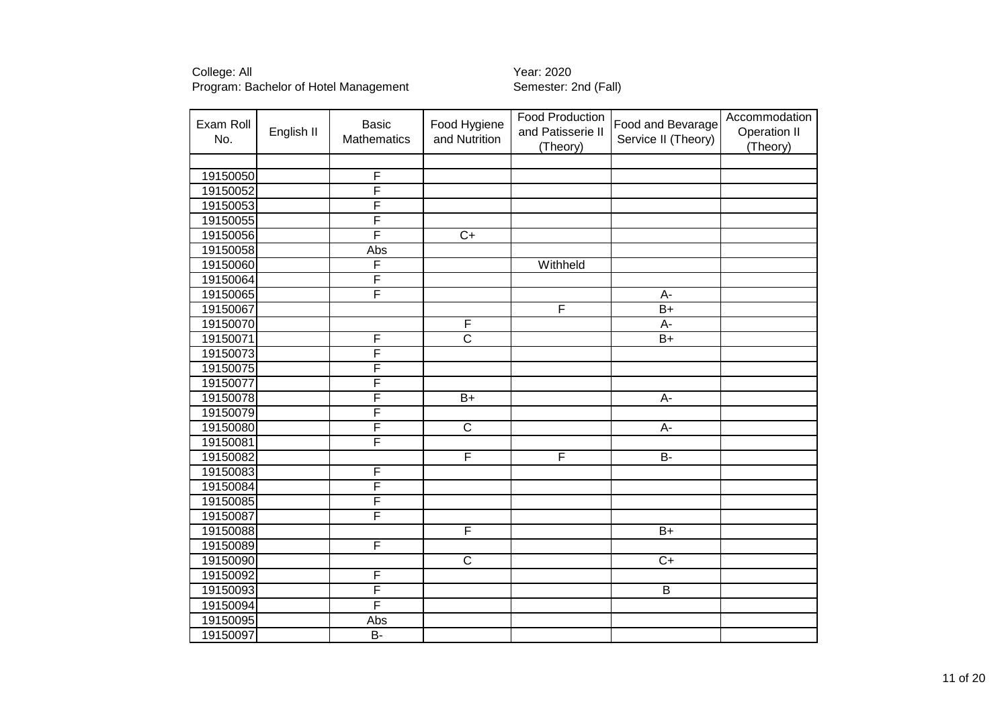| Exam Roll<br>No. | English II | <b>Basic</b><br><b>Mathematics</b> | Food Hygiene<br>and Nutrition | Food Production<br>and Patisserie II<br>(Theory) | Food and Bevarage<br>Service II (Theory) | Accommodation<br>Operation II<br>(Theory) |
|------------------|------------|------------------------------------|-------------------------------|--------------------------------------------------|------------------------------------------|-------------------------------------------|
|                  |            |                                    |                               |                                                  |                                          |                                           |
| 19150050         |            | F                                  |                               |                                                  |                                          |                                           |
| 19150052         |            | F                                  |                               |                                                  |                                          |                                           |
| 19150053         |            | F                                  |                               |                                                  |                                          |                                           |
| 19150055         |            | F                                  |                               |                                                  |                                          |                                           |
| 19150056         |            | F                                  | $\overline{C+}$               |                                                  |                                          |                                           |
| 19150058         |            | Abs                                |                               |                                                  |                                          |                                           |
| 19150060         |            | F                                  |                               | Withheld                                         |                                          |                                           |
| 19150064         |            | F                                  |                               |                                                  |                                          |                                           |
| 19150065         |            | F                                  |                               |                                                  | A-                                       |                                           |
| 19150067         |            |                                    |                               | F                                                | $\overline{B+}$                          |                                           |
| 19150070         |            |                                    | F                             |                                                  | $\overline{A}$ -                         |                                           |
| 19150071         |            | F                                  | $\overline{\text{c}}$         |                                                  | $B+$                                     |                                           |
| 19150073         |            | F                                  |                               |                                                  |                                          |                                           |
| 19150075         |            | F                                  |                               |                                                  |                                          |                                           |
| 19150077         |            | F                                  |                               |                                                  |                                          |                                           |
| 19150078         |            | F                                  | $B+$                          |                                                  | $\overline{A}$                           |                                           |
| 19150079         |            | F                                  |                               |                                                  |                                          |                                           |
| 19150080         |            | F                                  | $\overline{C}$                |                                                  | A-                                       |                                           |
| 19150081         |            | F                                  |                               |                                                  |                                          |                                           |
| 19150082         |            |                                    | F                             | $\overline{\mathsf{F}}$                          | $B -$                                    |                                           |
| 19150083         |            | F                                  |                               |                                                  |                                          |                                           |
| 19150084         |            | F                                  |                               |                                                  |                                          |                                           |
| 19150085         |            | F                                  |                               |                                                  |                                          |                                           |
| 19150087         |            | F                                  |                               |                                                  |                                          |                                           |
| 19150088         |            |                                    | F                             |                                                  | $\overline{B+}$                          |                                           |
| 19150089         |            | F                                  |                               |                                                  |                                          |                                           |
| 19150090         |            |                                    | $\overline{\text{c}}$         |                                                  | $\overline{C+}$                          |                                           |
| 19150092         |            | F                                  |                               |                                                  |                                          |                                           |
| 19150093         |            | F                                  |                               |                                                  | $\overline{B}$                           |                                           |
| 19150094         |            | F                                  |                               |                                                  |                                          |                                           |
| 19150095         |            | Abs                                |                               |                                                  |                                          |                                           |
| 19150097         |            | $\overline{B}$                     |                               |                                                  |                                          |                                           |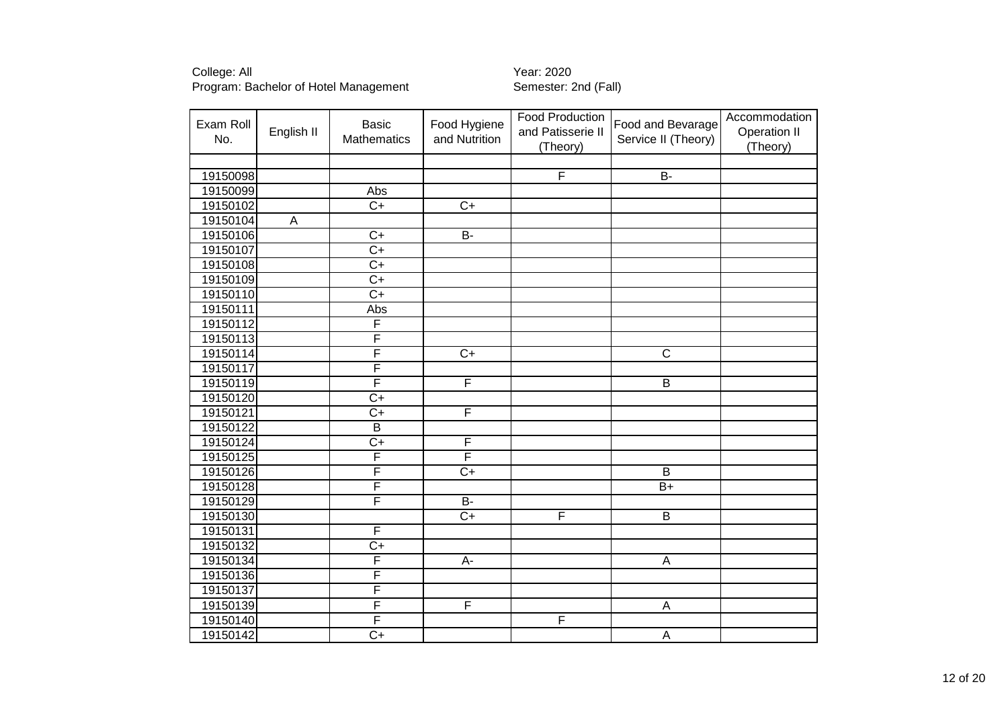| Exam Roll<br>No. | English II     | <b>Basic</b><br><b>Mathematics</b> | Food Hygiene<br>and Nutrition | <b>Food Production</b><br>and Patisserie II<br>(Theory) | Food and Bevarage<br>Service II (Theory) | Accommodation<br>Operation II<br>(Theory) |
|------------------|----------------|------------------------------------|-------------------------------|---------------------------------------------------------|------------------------------------------|-------------------------------------------|
|                  |                |                                    |                               |                                                         |                                          |                                           |
| 19150098         |                |                                    |                               | $\overline{\mathsf{F}}$                                 | $B -$                                    |                                           |
| 19150099         |                | Abs                                |                               |                                                         |                                          |                                           |
| 19150102         |                | $\overline{C+}$                    | $C+$                          |                                                         |                                          |                                           |
| 19150104         | $\overline{A}$ |                                    |                               |                                                         |                                          |                                           |
| 19150106         |                | $\overline{C+}$                    | B-                            |                                                         |                                          |                                           |
| 19150107         |                | $\overline{C+}$                    |                               |                                                         |                                          |                                           |
| 19150108         |                | $\overline{C+}$                    |                               |                                                         |                                          |                                           |
| 19150109         |                | $\overline{C+}$                    |                               |                                                         |                                          |                                           |
| 19150110         |                | $\overline{C+}$                    |                               |                                                         |                                          |                                           |
| 19150111         |                | Abs                                |                               |                                                         |                                          |                                           |
| 19150112         |                | F                                  |                               |                                                         |                                          |                                           |
| 19150113         |                | $\overline{\mathsf{F}}$            |                               |                                                         |                                          |                                           |
| 19150114         |                | F                                  | $\overline{C+}$               |                                                         | $\overline{\text{c}}$                    |                                           |
| 19150117         |                | F                                  |                               |                                                         |                                          |                                           |
| 19150119         |                | $\overline{\mathsf{F}}$            | $\overline{F}$                |                                                         | $\overline{B}$                           |                                           |
| 19150120         |                | $\overline{C+}$                    |                               |                                                         |                                          |                                           |
| 19150121         |                | $\overline{C+}$                    | $\overline{F}$                |                                                         |                                          |                                           |
| 19150122         |                | $\overline{B}$                     |                               |                                                         |                                          |                                           |
| 19150124         |                | $C+$                               | F                             |                                                         |                                          |                                           |
| 19150125         |                | F                                  | $\overline{\mathsf{F}}$       |                                                         |                                          |                                           |
| 19150126         |                | $\overline{\mathsf{F}}$            | $\overline{C+}$               |                                                         | $\overline{B}$                           |                                           |
| 19150128         |                | $\overline{\mathsf{F}}$            |                               |                                                         | $B+$                                     |                                           |
| 19150129         |                | F                                  | $\overline{B}$                |                                                         |                                          |                                           |
| 19150130         |                |                                    | $\overline{C+}$               | F                                                       | B                                        |                                           |
| 19150131         |                | $\overline{\mathsf{F}}$            |                               |                                                         |                                          |                                           |
| 19150132         |                | $\overline{C+}$                    |                               |                                                         |                                          |                                           |
| 19150134         |                | $\overline{\mathsf{F}}$            | $A-$                          |                                                         | $\mathsf A$                              |                                           |
| 19150136         |                | F                                  |                               |                                                         |                                          |                                           |
| 19150137         |                | $\overline{\mathsf{F}}$            |                               |                                                         |                                          |                                           |
| 19150139         |                | F                                  | $\overline{F}$                |                                                         | A                                        |                                           |
| 19150140         |                | $\overline{\mathsf{F}}$            |                               | F                                                       |                                          |                                           |
| 19150142         |                | $C+$                               |                               |                                                         | Α                                        |                                           |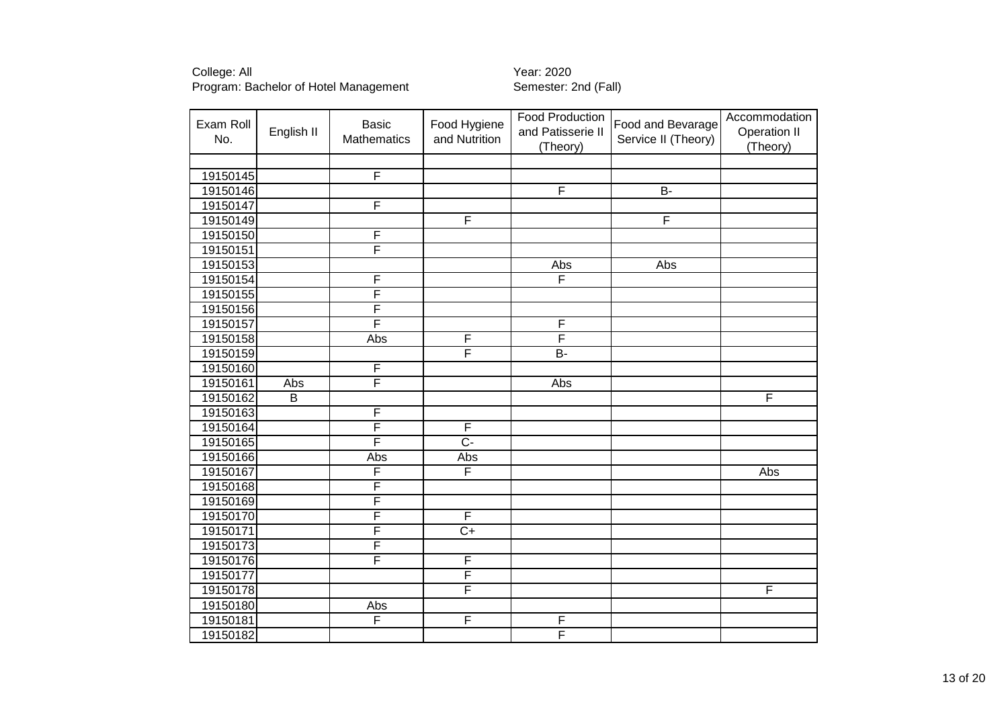| Exam Roll<br>No. | English II     | <b>Basic</b><br>Mathematics | Food Hygiene<br>and Nutrition | Food Production<br>and Patisserie II<br>(Theory) | Food and Bevarage<br>Service II (Theory) | Accommodation<br><b>Operation II</b><br>(Theory) |
|------------------|----------------|-----------------------------|-------------------------------|--------------------------------------------------|------------------------------------------|--------------------------------------------------|
|                  |                |                             |                               |                                                  |                                          |                                                  |
| 19150145         |                | $\overline{\mathsf{F}}$     |                               |                                                  |                                          |                                                  |
| 19150146         |                |                             |                               | $\overline{\mathsf{F}}$                          | $\overline{B}$                           |                                                  |
| 19150147         |                | F                           |                               |                                                  |                                          |                                                  |
| 19150149         |                |                             | F                             |                                                  | F                                        |                                                  |
| 19150150         |                | F                           |                               |                                                  |                                          |                                                  |
| 19150151         |                | F                           |                               |                                                  |                                          |                                                  |
| 19150153         |                |                             |                               | Abs                                              | Abs                                      |                                                  |
| 19150154         |                | F                           |                               | F                                                |                                          |                                                  |
| 19150155         |                | F                           |                               |                                                  |                                          |                                                  |
| 19150156         |                | F                           |                               |                                                  |                                          |                                                  |
| 19150157         |                | F                           |                               | F                                                |                                          |                                                  |
| 19150158         |                | Abs                         | F                             | F                                                |                                          |                                                  |
| 19150159         |                |                             | F                             | $B -$                                            |                                          |                                                  |
| 19150160         |                | F                           |                               |                                                  |                                          |                                                  |
| 19150161         | <b>Abs</b>     | F                           |                               | <b>Abs</b>                                       |                                          |                                                  |
| 19150162         | $\overline{B}$ |                             |                               |                                                  |                                          | F                                                |
| 19150163         |                | F                           |                               |                                                  |                                          |                                                  |
| 19150164         |                | F                           | F                             |                                                  |                                          |                                                  |
| 19150165         |                | F                           | $\overline{C}$                |                                                  |                                          |                                                  |
| 19150166         |                | Abs                         | Abs                           |                                                  |                                          |                                                  |
| 19150167         |                | F                           | F                             |                                                  |                                          | Abs                                              |
| 19150168         |                | F                           |                               |                                                  |                                          |                                                  |
| 19150169         |                | F                           |                               |                                                  |                                          |                                                  |
| 19150170         |                | F                           | F                             |                                                  |                                          |                                                  |
| 19150171         |                | F                           | $\overline{C}$                |                                                  |                                          |                                                  |
| 19150173         |                | F                           |                               |                                                  |                                          |                                                  |
| 19150176         |                | F                           | $\overline{\mathsf{F}}$       |                                                  |                                          |                                                  |
| 19150177         |                |                             | F                             |                                                  |                                          |                                                  |
| 19150178         |                |                             | F                             |                                                  |                                          | $\overline{F}$                                   |
| 19150180         |                | Abs                         |                               |                                                  |                                          |                                                  |
| 19150181         |                | $\overline{\mathsf{F}}$     | F                             | F                                                |                                          |                                                  |
| 19150182         |                |                             |                               | F                                                |                                          |                                                  |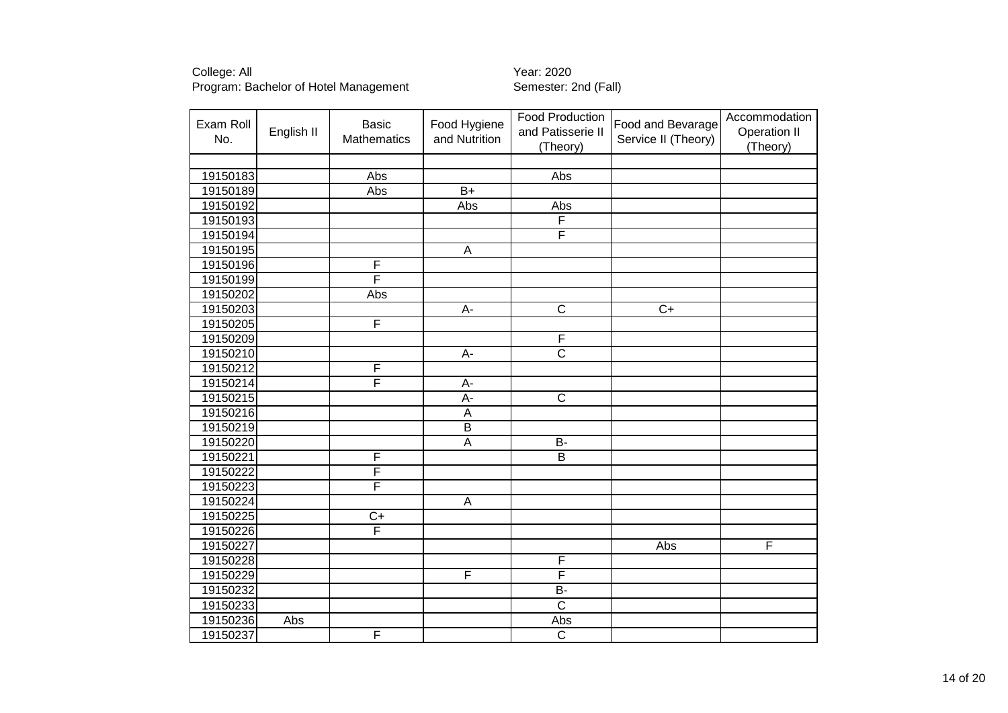| Exam Roll<br>No. | English II | <b>Basic</b><br><b>Mathematics</b> | Food Hygiene<br>and Nutrition | <b>Food Production</b><br>and Patisserie II<br>(Theory) | Food and Bevarage<br>Service II (Theory) | Accommodation<br><b>Operation II</b><br>(Theory) |
|------------------|------------|------------------------------------|-------------------------------|---------------------------------------------------------|------------------------------------------|--------------------------------------------------|
|                  |            |                                    |                               |                                                         |                                          |                                                  |
| 19150183         |            | Abs                                |                               | Abs                                                     |                                          |                                                  |
| 19150189         |            | Abs                                | $\overline{B+}$               |                                                         |                                          |                                                  |
| 19150192         |            |                                    | <b>Abs</b>                    | Abs                                                     |                                          |                                                  |
| 19150193         |            |                                    |                               | F                                                       |                                          |                                                  |
| 19150194         |            |                                    |                               | F                                                       |                                          |                                                  |
| 19150195         |            |                                    | A                             |                                                         |                                          |                                                  |
| 19150196         |            | F                                  |                               |                                                         |                                          |                                                  |
| 19150199         |            | F                                  |                               |                                                         |                                          |                                                  |
| 19150202         |            | Abs                                |                               |                                                         |                                          |                                                  |
| 19150203         |            |                                    | A-                            | $\overline{\mathsf{C}}$                                 | $C+$                                     |                                                  |
| 19150205         |            | F                                  |                               |                                                         |                                          |                                                  |
| 19150209         |            |                                    |                               | F                                                       |                                          |                                                  |
| 19150210         |            |                                    | А-                            | $\overline{\text{c}}$                                   |                                          |                                                  |
| 19150212         |            | F                                  |                               |                                                         |                                          |                                                  |
| 19150214         |            | F                                  | А-                            |                                                         |                                          |                                                  |
| 19150215         |            |                                    | $\overline{A}$ -              | $\overline{\text{c}}$                                   |                                          |                                                  |
| 19150216         |            |                                    | A                             |                                                         |                                          |                                                  |
| 19150219         |            |                                    | $\overline{B}$                |                                                         |                                          |                                                  |
| 19150220         |            |                                    | $\overline{A}$                | $B -$                                                   |                                          |                                                  |
| 19150221         |            | $\overline{\mathsf{F}}$            |                               | $\overline{\mathsf{B}}$                                 |                                          |                                                  |
| 19150222         |            | $\overline{\mathsf{F}}$            |                               |                                                         |                                          |                                                  |
| 19150223         |            | F                                  |                               |                                                         |                                          |                                                  |
| 19150224         |            |                                    | A                             |                                                         |                                          |                                                  |
| 19150225         |            | $C+$                               |                               |                                                         |                                          |                                                  |
| 19150226         |            | F                                  |                               |                                                         |                                          |                                                  |
| 19150227         |            |                                    |                               |                                                         | Abs                                      | F                                                |
| 19150228         |            |                                    |                               | F                                                       |                                          |                                                  |
| 19150229         |            |                                    | F                             | F                                                       |                                          |                                                  |
| 19150232         |            |                                    |                               | $B -$                                                   |                                          |                                                  |
| 19150233         |            |                                    |                               | $\overline{\mathsf{c}}$                                 |                                          |                                                  |
| 19150236         | Abs        |                                    |                               | Abs                                                     |                                          |                                                  |
| 19150237         |            | F                                  |                               | $\overline{\mathsf{c}}$                                 |                                          |                                                  |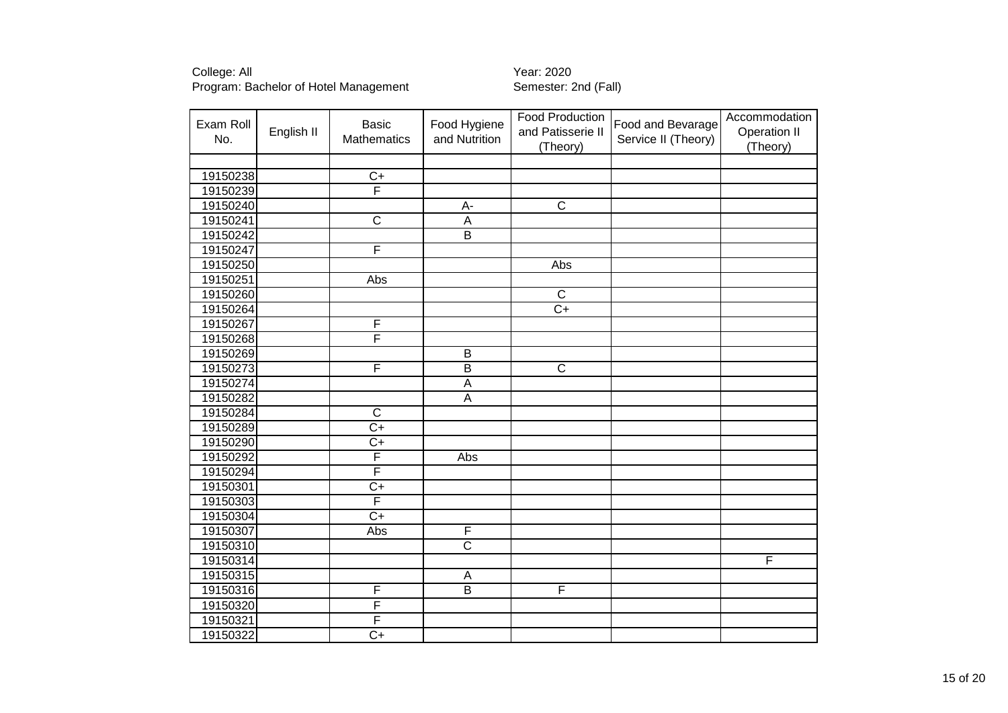| Exam Roll | English II | <b>Basic</b>          | Food Hygiene            | Food Production<br>and Patisserie II | Food and Bevarage   | Accommodation<br><b>Operation II</b> |
|-----------|------------|-----------------------|-------------------------|--------------------------------------|---------------------|--------------------------------------|
| No.       |            | Mathematics           | and Nutrition           | (Theory)                             | Service II (Theory) | (Theory)                             |
|           |            |                       |                         |                                      |                     |                                      |
| 19150238  |            | $C+$                  |                         |                                      |                     |                                      |
| 19150239  |            | F                     |                         |                                      |                     |                                      |
| 19150240  |            |                       | A-                      | $\overline{\text{c}}$                |                     |                                      |
| 19150241  |            | $\overline{\text{c}}$ | $\overline{A}$          |                                      |                     |                                      |
| 19150242  |            |                       | $\overline{B}$          |                                      |                     |                                      |
| 19150247  |            | F                     |                         |                                      |                     |                                      |
| 19150250  |            |                       |                         | <b>Abs</b>                           |                     |                                      |
| 19150251  |            | Abs                   |                         |                                      |                     |                                      |
| 19150260  |            |                       |                         | $\overline{\text{c}}$                |                     |                                      |
| 19150264  |            |                       |                         | $\overline{C+}$                      |                     |                                      |
| 19150267  |            | F                     |                         |                                      |                     |                                      |
| 19150268  |            | F                     |                         |                                      |                     |                                      |
| 19150269  |            |                       | $\overline{B}$          |                                      |                     |                                      |
| 19150273  |            | F                     | $\overline{\mathsf{B}}$ | $\overline{\mathsf{C}}$              |                     |                                      |
| 19150274  |            |                       | Α                       |                                      |                     |                                      |
| 19150282  |            |                       | $\overline{A}$          |                                      |                     |                                      |
| 19150284  |            | $\overline{C}$        |                         |                                      |                     |                                      |
| 19150289  |            | $C+$                  |                         |                                      |                     |                                      |
| 19150290  |            | $C+$                  |                         |                                      |                     |                                      |
| 19150292  |            | F                     | Abs                     |                                      |                     |                                      |
| 19150294  |            | F                     |                         |                                      |                     |                                      |
| 19150301  |            | $\overline{C}$        |                         |                                      |                     |                                      |
| 19150303  |            | F                     |                         |                                      |                     |                                      |
| 19150304  |            | $\overline{C}$        |                         |                                      |                     |                                      |
| 19150307  |            | Abs                   | $\overline{\mathsf{F}}$ |                                      |                     |                                      |
| 19150310  |            |                       | $\overline{\text{c}}$   |                                      |                     |                                      |
| 19150314  |            |                       |                         |                                      |                     | F                                    |
| 19150315  |            |                       | A                       |                                      |                     |                                      |
| 19150316  |            | $\overline{F}$        | $\overline{B}$          | F                                    |                     |                                      |
| 19150320  |            | F                     |                         |                                      |                     |                                      |
| 19150321  |            | F                     |                         |                                      |                     |                                      |
| 19150322  |            | $\overline{C}$        |                         |                                      |                     |                                      |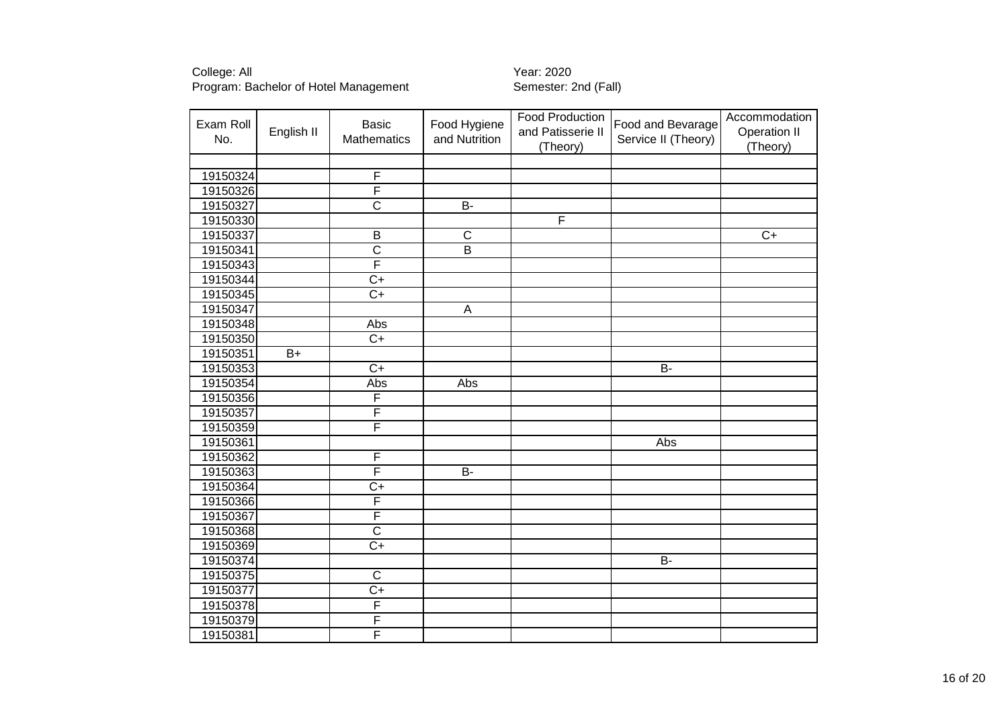| Exam Roll<br>No. | English II | <b>Basic</b><br>Mathematics | Food Hygiene<br>and Nutrition | <b>Food Production</b><br>and Patisserie II | Food and Bevarage<br>Service II (Theory) | Accommodation<br>Operation II |
|------------------|------------|-----------------------------|-------------------------------|---------------------------------------------|------------------------------------------|-------------------------------|
|                  |            |                             |                               | (Theory)                                    |                                          | (Theory)                      |
|                  |            |                             |                               |                                             |                                          |                               |
| 19150324         |            | $\overline{F}$              |                               |                                             |                                          |                               |
| 19150326         |            | F                           |                               |                                             |                                          |                               |
| 19150327         |            | $\overline{\text{c}}$       | $\overline{B}$                |                                             |                                          |                               |
| 19150330         |            |                             |                               | F                                           |                                          |                               |
| 19150337         |            | $\overline{B}$              | $\overline{\mathsf{C}}$       |                                             |                                          | $\overline{C+}$               |
| 19150341         |            | $\overline{\text{c}}$       | $\overline{\mathsf{B}}$       |                                             |                                          |                               |
| 19150343         |            | F                           |                               |                                             |                                          |                               |
| 19150344         |            | $\overline{C+}$             |                               |                                             |                                          |                               |
| 19150345         |            | $\overline{C+}$             |                               |                                             |                                          |                               |
| 19150347         |            |                             | $\mathsf{A}$                  |                                             |                                          |                               |
| 19150348         |            | Abs                         |                               |                                             |                                          |                               |
| 19150350         |            | $\overline{C+}$             |                               |                                             |                                          |                               |
| 19150351         | $B+$       |                             |                               |                                             |                                          |                               |
| 19150353         |            | $\overline{C+}$             |                               |                                             | $\overline{B}$                           |                               |
| 19150354         |            | Abs                         | Abs                           |                                             |                                          |                               |
| 19150356         |            | F                           |                               |                                             |                                          |                               |
| 19150357         |            | F                           |                               |                                             |                                          |                               |
| 19150359         |            | F                           |                               |                                             |                                          |                               |
| 19150361         |            |                             |                               |                                             | Abs                                      |                               |
| 19150362         |            | $\overline{\mathsf{F}}$     |                               |                                             |                                          |                               |
| 19150363         |            | F                           | $\overline{B}$                |                                             |                                          |                               |
| 19150364         |            | $\overline{C+}$             |                               |                                             |                                          |                               |
| 19150366         |            | F                           |                               |                                             |                                          |                               |
| 19150367         |            | F                           |                               |                                             |                                          |                               |
| 19150368         |            | $\overline{\text{c}}$       |                               |                                             |                                          |                               |
| 19150369         |            | $\overline{C+}$             |                               |                                             |                                          |                               |
| 19150374         |            |                             |                               |                                             | $\overline{B}$                           |                               |
| 19150375         |            | $\overline{\text{c}}$       |                               |                                             |                                          |                               |
| 19150377         |            | $\overline{C+}$             |                               |                                             |                                          |                               |
| 19150378         |            | F                           |                               |                                             |                                          |                               |
| 19150379         |            | F                           |                               |                                             |                                          |                               |
| 19150381         |            | F                           |                               |                                             |                                          |                               |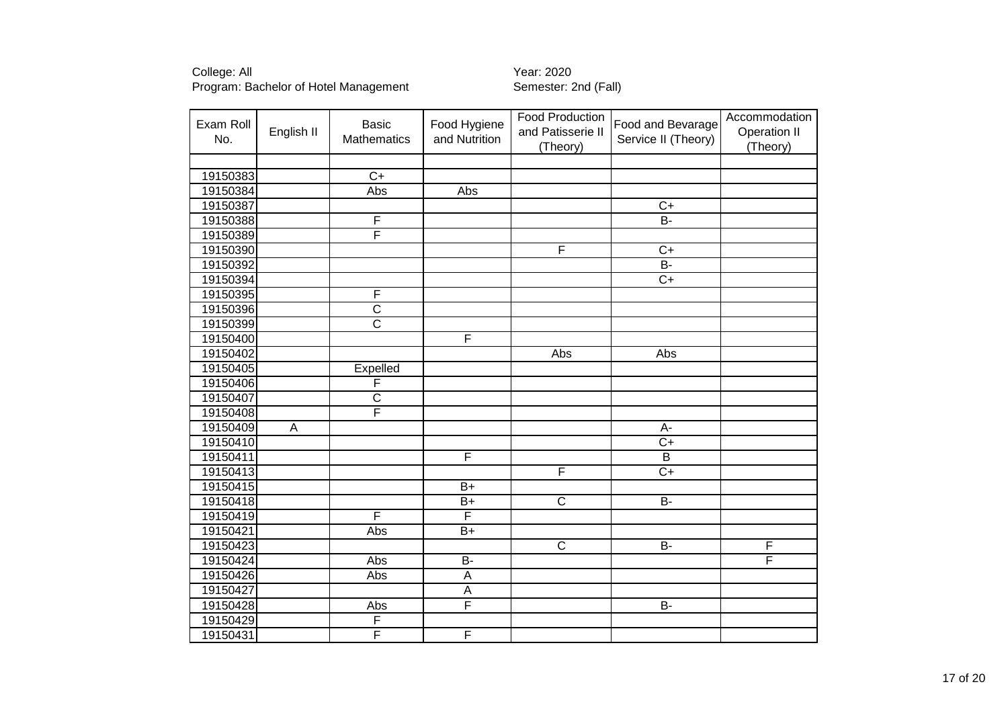| Exam Roll | English II | <b>Basic</b>            | Food Hygiene            | <b>Food Production</b><br>and Patisserie II | Food and Bevarage   | Accommodation<br>Operation II |
|-----------|------------|-------------------------|-------------------------|---------------------------------------------|---------------------|-------------------------------|
| No.       |            | <b>Mathematics</b>      | and Nutrition           | (Theory)                                    | Service II (Theory) | (Theory)                      |
|           |            |                         |                         |                                             |                     |                               |
| 19150383  |            | $\overline{C+}$         |                         |                                             |                     |                               |
| 19150384  |            | Abs                     | Abs                     |                                             |                     |                               |
| 19150387  |            |                         |                         |                                             | $\overline{C+}$     |                               |
| 19150388  |            | F                       |                         |                                             | B-                  |                               |
| 19150389  |            | F                       |                         |                                             |                     |                               |
| 19150390  |            |                         |                         | F                                           | $\overline{C+}$     |                               |
| 19150392  |            |                         |                         |                                             | $B -$               |                               |
| 19150394  |            |                         |                         |                                             | $\overline{C+}$     |                               |
| 19150395  |            | F                       |                         |                                             |                     |                               |
| 19150396  |            | $\overline{\text{c}}$   |                         |                                             |                     |                               |
| 19150399  |            | $\overline{\mathsf{c}}$ |                         |                                             |                     |                               |
| 19150400  |            |                         | F                       |                                             |                     |                               |
| 19150402  |            |                         |                         | Abs                                         | Abs                 |                               |
| 19150405  |            | Expelled                |                         |                                             |                     |                               |
| 19150406  |            | F                       |                         |                                             |                     |                               |
| 19150407  |            | $\overline{\text{c}}$   |                         |                                             |                     |                               |
| 19150408  |            | F                       |                         |                                             |                     |                               |
| 19150409  | A          |                         |                         |                                             | $A-$                |                               |
| 19150410  |            |                         |                         |                                             | $C+$                |                               |
| 19150411  |            |                         | F                       |                                             | B                   |                               |
| 19150413  |            |                         |                         | $\overline{\mathsf{F}}$                     | $\overline{C+}$     |                               |
| 19150415  |            |                         | $B+$                    |                                             |                     |                               |
| 19150418  |            |                         | $B+$                    | $\overline{\mathsf{C}}$                     | <b>B-</b>           |                               |
| 19150419  |            | F                       | F                       |                                             |                     |                               |
| 19150421  |            | Abs                     | $B+$                    |                                             |                     |                               |
| 19150423  |            |                         |                         | $\overline{C}$                              | <b>B-</b>           | $\overline{F}$                |
| 19150424  |            | Abs                     | $B -$                   |                                             |                     | $\overline{\mathsf{F}}$       |
| 19150426  |            | Abs                     | A                       |                                             |                     |                               |
| 19150427  |            |                         | A                       |                                             |                     |                               |
| 19150428  |            | Abs                     | $\overline{\mathsf{F}}$ |                                             | <b>B-</b>           |                               |
| 19150429  |            | F                       |                         |                                             |                     |                               |
| 19150431  |            | F                       | $\overline{F}$          |                                             |                     |                               |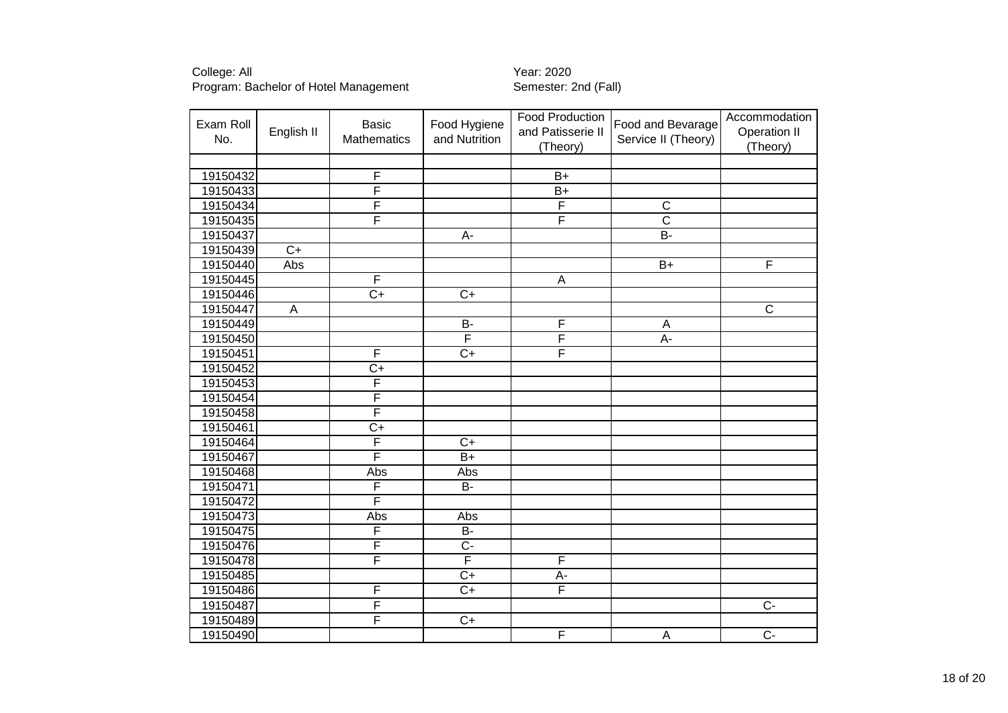| Exam Roll<br>No. | English II      | <b>Basic</b><br><b>Mathematics</b> | Food Hygiene<br>and Nutrition | <b>Food Production</b><br>and Patisserie II<br>(Theory) | Food and Bevarage<br>Service II (Theory) | Accommodation<br>Operation II<br>(Theory) |
|------------------|-----------------|------------------------------------|-------------------------------|---------------------------------------------------------|------------------------------------------|-------------------------------------------|
|                  |                 |                                    |                               |                                                         |                                          |                                           |
| 19150432         |                 | $\overline{\mathsf{F}}$            |                               | $\overline{B+}$                                         |                                          |                                           |
| 19150433         |                 | $\overline{\mathsf{F}}$            |                               | $\overline{B+}$                                         |                                          |                                           |
| 19150434         |                 | F                                  |                               | F                                                       | $\overline{\text{c}}$                    |                                           |
| 19150435         |                 | F                                  |                               | F                                                       | $\overline{\mathsf{c}}$                  |                                           |
| 19150437         |                 |                                    | A-                            |                                                         | $\overline{B}$                           |                                           |
| 19150439         | $\overline{C+}$ |                                    |                               |                                                         |                                          |                                           |
| 19150440         | Abs             |                                    |                               |                                                         | $B+$                                     | F                                         |
| 19150445         |                 | F                                  |                               | A                                                       |                                          |                                           |
| 19150446         |                 | $\overline{C+}$                    | $\overline{C+}$               |                                                         |                                          |                                           |
| 19150447         | $\overline{A}$  |                                    |                               |                                                         |                                          | $\overline{C}$                            |
| 19150449         |                 |                                    | $\overline{B}$                | F                                                       | A                                        |                                           |
| 19150450         |                 |                                    | F                             | F                                                       | $\overline{A}$ -                         |                                           |
| 19150451         |                 | F                                  | $\overline{C}$                | F                                                       |                                          |                                           |
| 19150452         |                 | $\overline{C+}$                    |                               |                                                         |                                          |                                           |
| 19150453         |                 | F                                  |                               |                                                         |                                          |                                           |
| 19150454         |                 | F                                  |                               |                                                         |                                          |                                           |
| 19150458         |                 | F                                  |                               |                                                         |                                          |                                           |
| 19150461         |                 | $\overline{C+}$                    |                               |                                                         |                                          |                                           |
| 19150464         |                 | F                                  | $\overline{C+}$               |                                                         |                                          |                                           |
| 19150467         |                 | F                                  | $\overline{B+}$               |                                                         |                                          |                                           |
| 19150468         |                 | Abs                                | Abs                           |                                                         |                                          |                                           |
| 19150471         |                 | F                                  | <b>B-</b>                     |                                                         |                                          |                                           |
| 19150472         |                 | F                                  |                               |                                                         |                                          |                                           |
| 19150473         |                 | Abs                                | Abs                           |                                                         |                                          |                                           |
| 19150475         |                 | F                                  | <b>B-</b>                     |                                                         |                                          |                                           |
| 19150476         |                 | F                                  | $\overline{C}$                |                                                         |                                          |                                           |
| 19150478         |                 | F                                  | F                             | F                                                       |                                          |                                           |
| 19150485         |                 |                                    | $C+$                          | A-                                                      |                                          |                                           |
| 19150486         |                 | F                                  | $C+$                          | F                                                       |                                          |                                           |
| 19150487         |                 | F                                  |                               |                                                         |                                          | $\overline{C}$                            |
| 19150489         |                 | F                                  | $C+$                          |                                                         |                                          |                                           |
| 19150490         |                 |                                    |                               | F                                                       | A                                        | $\overline{C}$                            |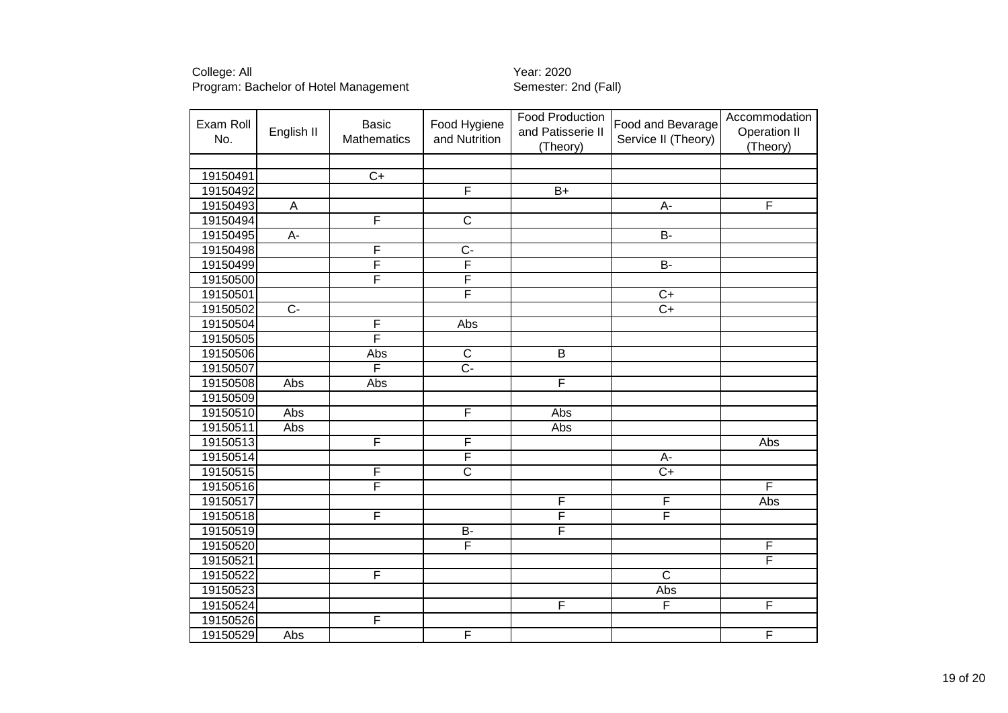| Exam Roll<br>No. | English II       | <b>Basic</b><br>Mathematics | Food Hygiene<br>and Nutrition | Food Production<br>and Patisserie II<br>(Theory) | Food and Bevarage<br>Service II (Theory) | Accommodation<br><b>Operation II</b><br>(Theory) |
|------------------|------------------|-----------------------------|-------------------------------|--------------------------------------------------|------------------------------------------|--------------------------------------------------|
|                  |                  |                             |                               |                                                  |                                          |                                                  |
| 19150491         |                  | $\overline{C+}$             |                               |                                                  |                                          |                                                  |
| 19150492         |                  |                             | F                             | $\overline{B+}$                                  |                                          |                                                  |
| 19150493         | $\overline{A}$   |                             |                               |                                                  | $A -$                                    | F                                                |
| 19150494         |                  | F                           | $\overline{\text{c}}$         |                                                  |                                          |                                                  |
| 19150495         | $\overline{A}$ - |                             |                               |                                                  | $\overline{B}$                           |                                                  |
| 19150498         |                  | F                           | $\overline{C}$ -              |                                                  |                                          |                                                  |
| 19150499         |                  | F                           | $\overline{\mathsf{F}}$       |                                                  | $\overline{B}$                           |                                                  |
| 19150500         |                  | F                           | F                             |                                                  |                                          |                                                  |
| 19150501         |                  |                             | F                             |                                                  | $\overline{C+}$                          |                                                  |
| 19150502         | $\overline{C}$   |                             |                               |                                                  | $\overline{C+}$                          |                                                  |
| 19150504         |                  | F                           | <b>Abs</b>                    |                                                  |                                          |                                                  |
| 19150505         |                  | F                           |                               |                                                  |                                          |                                                  |
| 19150506         |                  | Abs                         | $\overline{C}$                | $\overline{B}$                                   |                                          |                                                  |
| 19150507         |                  | F                           | $\overline{C}$ -              |                                                  |                                          |                                                  |
| 19150508         | Abs              | Abs                         |                               | F                                                |                                          |                                                  |
| 19150509         |                  |                             |                               |                                                  |                                          |                                                  |
| 19150510         | Abs              |                             | F                             | Abs                                              |                                          |                                                  |
| 19150511         | Abs              |                             |                               | Abs                                              |                                          |                                                  |
| 19150513         |                  | F                           | $\overline{\mathsf{F}}$       |                                                  |                                          | Abs                                              |
| 19150514         |                  |                             | F                             |                                                  | A-                                       |                                                  |
| 19150515         |                  | F                           | $\overline{\text{c}}$         |                                                  | $\overline{C+}$                          |                                                  |
| 19150516         |                  | F                           |                               |                                                  |                                          | F                                                |
| 19150517         |                  |                             |                               | F                                                | F                                        | Abs                                              |
| 19150518         |                  | F                           |                               | F                                                | F                                        |                                                  |
| 19150519         |                  |                             | $\overline{B}$                | F                                                |                                          |                                                  |
| 19150520         |                  |                             | F                             |                                                  |                                          | F                                                |
| 19150521         |                  |                             |                               |                                                  |                                          | F                                                |
| 19150522         |                  | $\overline{\mathsf{F}}$     |                               |                                                  | $\overline{\mathsf{C}}$                  |                                                  |
| 19150523         |                  |                             |                               |                                                  | Abs                                      |                                                  |
| 19150524         |                  |                             |                               | F                                                | F                                        | F                                                |
| 19150526         |                  | F                           |                               |                                                  |                                          |                                                  |
| 19150529         | Abs              |                             | F                             |                                                  |                                          | $\overline{F}$                                   |